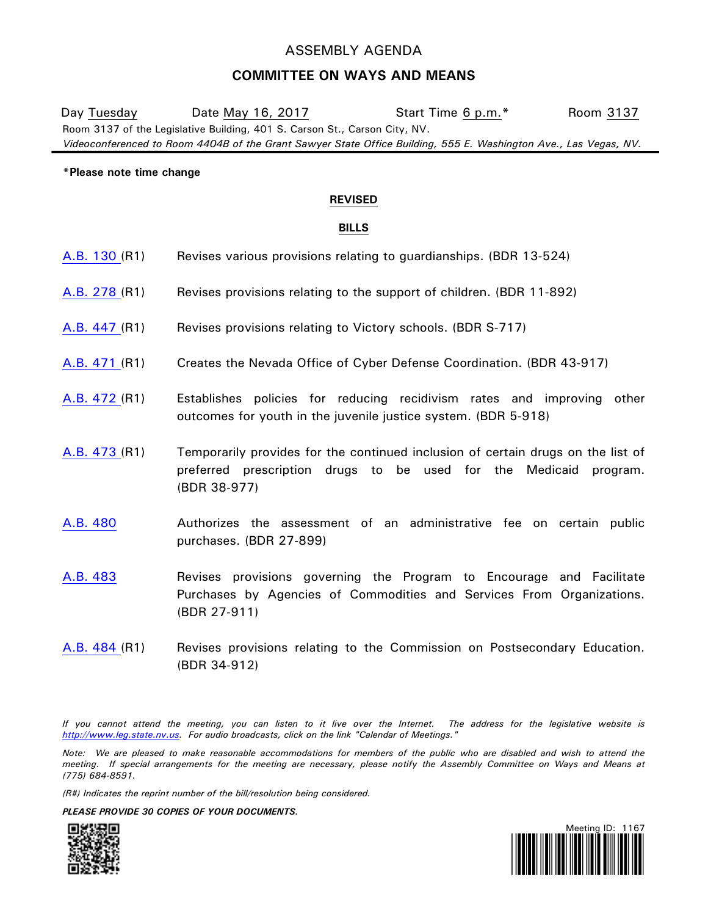# ASSEMBLY AGENDA

## **COMMITTEE ON WAYS AND MEANS**

Room 3137 of the Legislative Building, 401 S. Carson St., Carson City, NV. *Videoconferenced to Room 4404B of the Grant Sawyer State Office Building, 555 E. Washington Ave., Las Vegas, NV.* Day Tuesday Date May 16, 2017 Start Time 6 p.m.**\*** Room 3137

#### **\*Please note time change**

### **REVISED**

### **BILLS**

- [A.B.](https://www.leg.state.nv.us/App/NELIS/REL/79th2017/Bill/4872/Overview/) 130 (R1) Revises various provisions relating to guardianships. (BDR 13-524)
- [A.B.](https://www.leg.state.nv.us/App/NELIS/REL/79th2017/Bill/5188/Overview/) 278 (R1) Revises provisions relating to the support of children. (BDR 11-892)
- [A.B.](https://www.leg.state.nv.us/App/NELIS/REL/79th2017/Bill/5690/Overview/) 447 (R1) Revises provisions relating to Victory schools. (BDR S-717)
- [A.B.](https://www.leg.state.nv.us/App/NELIS/REL/79th2017/Bill/5729/Overview/) 471 (R1) Creates the Nevada Office of Cyber Defense Coordination. (BDR 43-917)
- [A.B.](https://www.leg.state.nv.us/App/NELIS/REL/79th2017/Bill/5731/Overview/) 472 (R1) Establishes policies for reducing recidivism rates and improving other outcomes for youth in the juvenile justice system. (BDR 5-918)
- [A.B.](https://www.leg.state.nv.us/App/NELIS/REL/79th2017/Bill/5733/Overview/) 473 (R1) Temporarily provides for the continued inclusion of certain drugs on the list of preferred prescription drugs to be used for the Medicaid program. (BDR 38-977)
- [A.B.](https://www.leg.state.nv.us/App/NELIS/REL/79th2017/Bill/5744/Overview/) 480 Authorizes the assessment of an administrative fee on certain public purchases. (BDR 27-899)
- [A.B.](https://www.leg.state.nv.us/App/NELIS/REL/79th2017/Bill/5748/Overview/) 483 **Revises provisions governing the Program to Encourage and Facilitate** Purchases by Agencies of Commodities and Services From Organizations. (BDR 27-911)
- [A.B.](https://www.leg.state.nv.us/App/NELIS/REL/79th2017/Bill/5749/Overview/) 484 (R1) Revises provisions relating to the Commission on Postsecondary Education. (BDR 34-912)

*If you cannot attend the meeting, you can listen to it live over the Internet. The address for the legislative website is [http://www.leg.state.nv.us.](http://www.leg.state.nv.us/) For audio broadcasts, click on the link "Calendar of Meetings."*

*Note: We are pleased to make reasonable accommodations for members of the public who are disabled and wish to attend the meeting. If special arrangements for the meeting are necessary, please notify the Assembly Committee on Ways and Means at (775)* 684-8591.

*(R#) Indicates the reprint number of the bill/resolution being considered.*

*PLEASE PROVIDE 30 COPIES OF YOUR DOCUMENTS.*